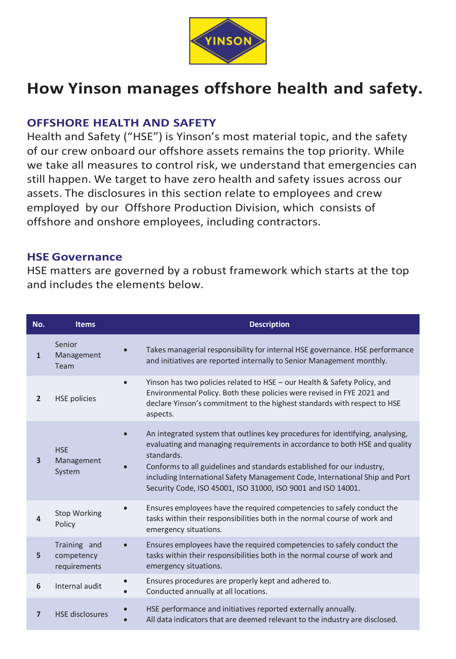

# **How Yinson manages offshore health and safety.**

#### **OFFSHORE HEALTH AND SAFETY**

Health and Safety ("HSE") is Yinson's most material topic, and the safety of our crew onboard our offshore assets remains the top priority. While we take all measures to control risk, we understand that emergencies can still happen. We target to have zero health and safety issues across our assets. The disclosures in this section relate to employees and crew employed by our Offshore Production Division, which consists of offshore and onshore employees, including contractors.

#### **HSE Governance**

HSE matters are governed by a robust framework which starts at the top and includes the elements below.

| No.            | <b>Items</b>                               | <b>Description</b>                                                                                                                                                                                                                                                                                                                                                                                 |  |
|----------------|--------------------------------------------|----------------------------------------------------------------------------------------------------------------------------------------------------------------------------------------------------------------------------------------------------------------------------------------------------------------------------------------------------------------------------------------------------|--|
| $\mathbf{1}$   | Senior<br>Management<br>Team               | Takes managerial responsibility for internal HSE governance. HSE performance<br>$\bullet$<br>and initiatives are reported internally to Senior Management monthly.                                                                                                                                                                                                                                 |  |
| $\overline{2}$ | <b>HSE policies</b>                        | Yinson has two policies related to HSE - our Health & Safety Policy, and<br>Environmental Policy. Both these policies were revised in FYE 2021 and<br>declare Yinson's commitment to the highest standards with respect to HSE<br>aspects.                                                                                                                                                         |  |
| 3              | <b>HSE</b><br>Management<br>System         | An integrated system that outlines key procedures for identifying, analysing,<br>evaluating and managing requirements in accordance to both HSE and quality<br>standards.<br>Conforms to all guidelines and standards established for our industry,<br>including International Safety Management Code, International Ship and Port<br>Security Code, ISO 45001, ISO 31000, ISO 9001 and ISO 14001. |  |
| 4              | <b>Stop Working</b><br>Policy              | Ensures employees have the required competencies to safely conduct the<br>tasks within their responsibilities both in the normal course of work and<br>emergency situations.                                                                                                                                                                                                                       |  |
| 5              | Training and<br>competency<br>requirements | Ensures employees have the required competencies to safely conduct the<br>tasks within their responsibilities both in the normal course of work and<br>emergency situations.                                                                                                                                                                                                                       |  |
| 6              | Internal audit                             | Ensures procedures are properly kept and adhered to.<br>Conducted annually at all locations.                                                                                                                                                                                                                                                                                                       |  |
| $\overline{7}$ | <b>HSE</b> disclosures                     | HSE performance and initiatives reported externally annually.<br>All data indicators that are deemed relevant to the industry are disclosed.                                                                                                                                                                                                                                                       |  |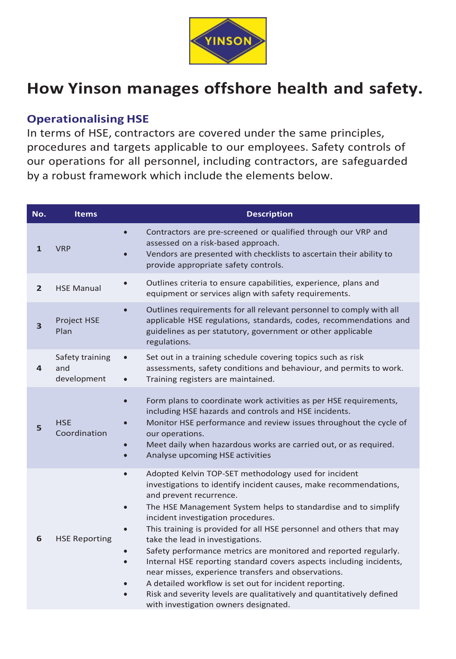

# **How Yinson manages offshore health and safety.**

### **Operationalising HSE**

In terms of HSE, contractors are covered under the same principles, procedures and targets applicable to our employees. Safety controls of our operations for all personnel, including contractors, are safeguarded by a robust framework which include the elements below.

| No.            | <b>Items</b>                          | <b>Description</b>                                                                                                                                                                                                                                                                                                                                                                                                                                                                                                                                                                                                                                                                                                                                                              |
|----------------|---------------------------------------|---------------------------------------------------------------------------------------------------------------------------------------------------------------------------------------------------------------------------------------------------------------------------------------------------------------------------------------------------------------------------------------------------------------------------------------------------------------------------------------------------------------------------------------------------------------------------------------------------------------------------------------------------------------------------------------------------------------------------------------------------------------------------------|
| 1              | <b>VRP</b>                            | Contractors are pre-screened or qualified through our VRP and<br>assessed on a risk-based approach.<br>Vendors are presented with checklists to ascertain their ability to<br>provide appropriate safety controls.                                                                                                                                                                                                                                                                                                                                                                                                                                                                                                                                                              |
| $\overline{2}$ | <b>HSE Manual</b>                     | Outlines criteria to ensure capabilities, experience, plans and<br>$\bullet$<br>equipment or services align with safety requirements.                                                                                                                                                                                                                                                                                                                                                                                                                                                                                                                                                                                                                                           |
| 3              | Project HSE<br>Plan                   | Outlines requirements for all relevant personnel to comply with all<br>applicable HSE regulations, standards, codes, recommendations and<br>guidelines as per statutory, government or other applicable<br>regulations.                                                                                                                                                                                                                                                                                                                                                                                                                                                                                                                                                         |
| 4              | Safety training<br>and<br>development | Set out in a training schedule covering topics such as risk<br>$\bullet$<br>assessments, safety conditions and behaviour, and permits to work.<br>Training registers are maintained.                                                                                                                                                                                                                                                                                                                                                                                                                                                                                                                                                                                            |
| 5              | <b>HSE</b><br>Coordination            | Form plans to coordinate work activities as per HSE requirements,<br>$\bullet$<br>including HSE hazards and controls and HSE incidents.<br>Monitor HSE performance and review issues throughout the cycle of<br>our operations.<br>Meet daily when hazardous works are carried out, or as required.<br>Analyse upcoming HSE activities                                                                                                                                                                                                                                                                                                                                                                                                                                          |
| 6              | <b>HSE Reporting</b>                  | Adopted Kelvin TOP-SET methodology used for incident<br>$\bullet$<br>investigations to identify incident causes, make recommendations,<br>and prevent recurrence.<br>The HSE Management System helps to standardise and to simplify<br>$\bullet$<br>incident investigation procedures.<br>This training is provided for all HSE personnel and others that may<br>take the lead in investigations.<br>Safety performance metrics are monitored and reported regularly.<br>Internal HSE reporting standard covers aspects including incidents,<br>near misses, experience transfers and observations.<br>A detailed workflow is set out for incident reporting.<br>Risk and severity levels are qualitatively and quantitatively defined<br>with investigation owners designated. |